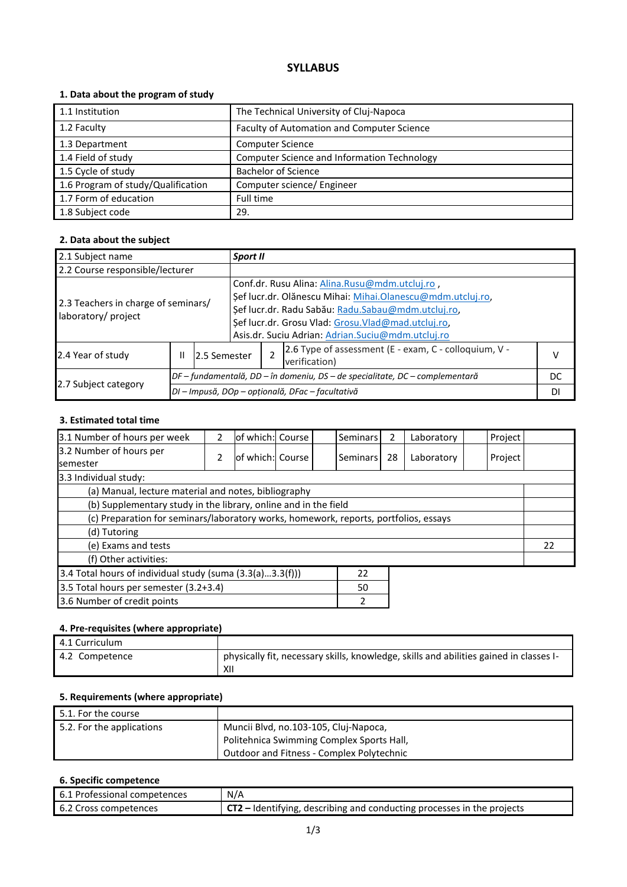# **SYLLABUS**

### **1. Data about the program of study**

| 1.1 Institution                    | The Technical University of Cluj-Napoca     |
|------------------------------------|---------------------------------------------|
| 1.2 Faculty                        | Faculty of Automation and Computer Science  |
| 1.3 Department                     | <b>Computer Science</b>                     |
| 1.4 Field of study                 | Computer Science and Information Technology |
| 1.5 Cycle of study                 | <b>Bachelor of Science</b>                  |
| 1.6 Program of study/Qualification | Computer science/ Engineer                  |
| 1.7 Form of education              | Full time                                   |
| 1.8 Subject code                   | 29.                                         |

### **2. Data about the subject**

| 2.1 Subject name                                           |                    | Sport II |                                                  |                                                                                                                                                                                                                                                                               |                                                                        |    |  |
|------------------------------------------------------------|--------------------|----------|--------------------------------------------------|-------------------------------------------------------------------------------------------------------------------------------------------------------------------------------------------------------------------------------------------------------------------------------|------------------------------------------------------------------------|----|--|
| 2.2 Course responsible/lecturer                            |                    |          |                                                  |                                                                                                                                                                                                                                                                               |                                                                        |    |  |
| 2.3 Teachers in charge of seminars/<br>laboratory/ project |                    |          |                                                  | Conf.dr. Rusu Alina: Alina.Rusu@mdm.utcluj.ro,<br>Şef lucr.dr. Olănescu Mihai: Mihai.Olanescu@mdm.utcluj.ro,<br>Şef lucr.dr. Radu Sabău: Radu.Sabau@mdm.utcluj.ro,<br>Şef lucr.dr. Grosu Vlad: Grosu.Vlad@mad.utcluj.ro,<br>Asis.dr. Suciu Adrian: Adrian.Suciu@mdm.utcluj.ro |                                                                        |    |  |
| 2.4 Year of study                                          | 12.5 Semester<br>Ш |          |                                                  |                                                                                                                                                                                                                                                                               | 2.6 Type of assessment (E - exam, C - colloquium, V -<br>verification) | v  |  |
| 2.7 Subject category                                       |                    |          |                                                  | $DF$ – fundamentală, DD – în domeniu, DS – de specialitate, DC – complementară                                                                                                                                                                                                | DC                                                                     |    |  |
|                                                            |                    |          | DI - Impusă, DOp - opțională, DFac - facultativă |                                                                                                                                                                                                                                                                               |                                                                        | DI |  |

#### **3. Estimated total time**

| 3.1 Number of hours per week                                                         | 2 | of which: Course |  |  | Seminars | 2  | Laboratory | Project |  |
|--------------------------------------------------------------------------------------|---|------------------|--|--|----------|----|------------|---------|--|
| 3.2 Number of hours per                                                              | 2 | of which: Course |  |  | Seminars | 28 |            |         |  |
| <b>I</b> semester                                                                    |   |                  |  |  |          |    | Laboratory | Project |  |
| 3.3 Individual study:                                                                |   |                  |  |  |          |    |            |         |  |
| (a) Manual, lecture material and notes, bibliography                                 |   |                  |  |  |          |    |            |         |  |
| (b) Supplementary study in the library, online and in the field                      |   |                  |  |  |          |    |            |         |  |
| (c) Preparation for seminars/laboratory works, homework, reports, portfolios, essays |   |                  |  |  |          |    |            |         |  |
| (d) Tutoring                                                                         |   |                  |  |  |          |    |            |         |  |
| (e) Exams and tests                                                                  |   |                  |  |  |          |    | 22         |         |  |
| (f) Other activities:                                                                |   |                  |  |  |          |    |            |         |  |
| 3.4 Total hours of individual study (suma $(3.3(a)3.3(f)))$<br>22                    |   |                  |  |  |          |    |            |         |  |
| 3.5 Total hours per semester (3.2+3.4)<br>50                                         |   |                  |  |  |          |    |            |         |  |
| 3.6 Number of credit points<br>2                                                     |   |                  |  |  |          |    |            |         |  |

# **4. Pre-requisites (where appropriate)**

| 4.1 Curriculum |                                                                                               |
|----------------|-----------------------------------------------------------------------------------------------|
| 4.2 Competence | physically fit, necessary skills, knowledge, skills and abilities gained in classes I-<br>XII |

### **5. Requirements (where appropriate)**

| 5.1. For the course       |                                                  |
|---------------------------|--------------------------------------------------|
| 5.2. For the applications | Muncii Blvd, no.103-105, Cluj-Napoca,            |
|                           | Politehnica Swimming Complex Sports Hall,        |
|                           | <b>Outdoor and Fitness - Complex Polytechnic</b> |

# **6. Specific competence**

| 6.1 Professional competences | N/A                                                                      |
|------------------------------|--------------------------------------------------------------------------|
| 6.2 Cross competences        | $CT2$ – Identifying, describing and conducting processes in the projects |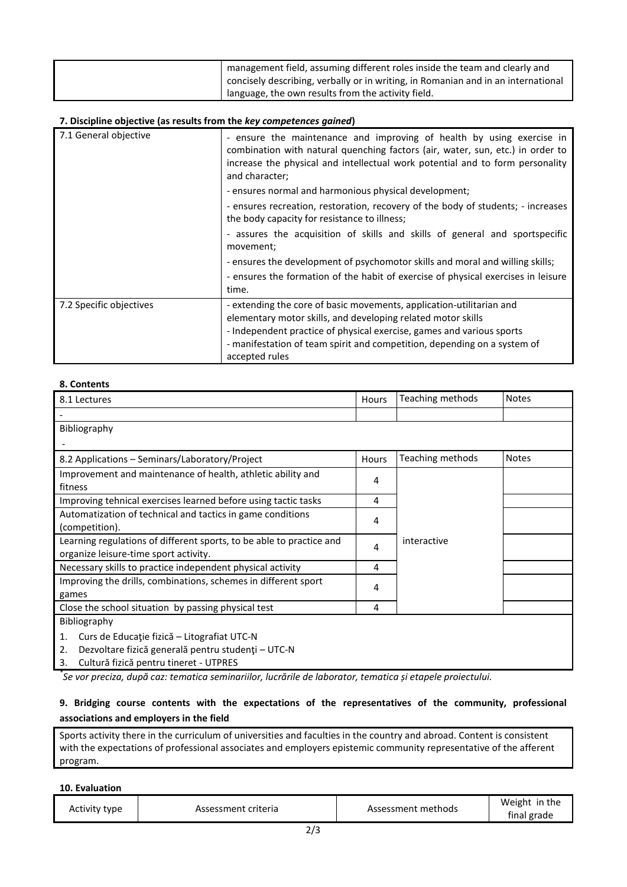| management field, assuming different roles inside the team and clearly and        |
|-----------------------------------------------------------------------------------|
| concisely describing, verbally or in writing, in Romanian and in an international |
| language, the own results from the activity field.                                |

#### **7. Discipline objective (as results from the** *key competences gained***)**

| 7.1 General objective   | - ensure the maintenance and improving of health by using exercise in<br>combination with natural quenching factors (air, water, sun, etc.) in order to<br>increase the physical and intellectual work potential and to form personality<br>and character;<br>- ensures normal and harmonious physical development;<br>- ensures recreation, restoration, recovery of the body of students; - increases<br>the body capacity for resistance to illness;<br>- assures the acquisition of skills and skills of general and sportspecific<br>movement;<br>- ensures the development of psychomotor skills and moral and willing skills; |
|-------------------------|--------------------------------------------------------------------------------------------------------------------------------------------------------------------------------------------------------------------------------------------------------------------------------------------------------------------------------------------------------------------------------------------------------------------------------------------------------------------------------------------------------------------------------------------------------------------------------------------------------------------------------------|
|                         | - ensures the formation of the habit of exercise of physical exercises in leisure<br>time.                                                                                                                                                                                                                                                                                                                                                                                                                                                                                                                                           |
| 7.2 Specific objectives | - extending the core of basic movements, application-utilitarian and<br>elementary motor skills, and developing related motor skills<br>- Independent practice of physical exercise, games and various sports<br>- manifestation of team spirit and competition, depending on a system of<br>accepted rules                                                                                                                                                                                                                                                                                                                          |

#### **8. Contents**

| 8.1 Lectures                                                                                                                                                  | Hours | Teaching methods | <b>Notes</b> |
|---------------------------------------------------------------------------------------------------------------------------------------------------------------|-------|------------------|--------------|
|                                                                                                                                                               |       |                  |              |
| <b>Bibliography</b>                                                                                                                                           |       |                  |              |
|                                                                                                                                                               |       |                  |              |
| 8.2 Applications – Seminars/Laboratory/Project                                                                                                                | Hours | Teaching methods | <b>Notes</b> |
| Improvement and maintenance of health, athletic ability and<br>fitness                                                                                        | 4     |                  |              |
| Improving tehnical exercises learned before using tactic tasks                                                                                                | 4     |                  |              |
| Automatization of technical and tactics in game conditions<br>(competition).                                                                                  | 4     |                  |              |
| Learning regulations of different sports, to be able to practice and<br>organize leisure-time sport activity.                                                 |       | interactive      |              |
| Necessary skills to practice independent physical activity                                                                                                    |       |                  |              |
| Improving the drills, combinations, schemes in different sport<br>games                                                                                       |       |                  |              |
| Close the school situation by passing physical test                                                                                                           | 4     |                  |              |
| <b>Bibliography</b>                                                                                                                                           |       |                  |              |
| Curs de Educație fizică – Litografiat UTC-N<br>1.<br>Dezvoltare fizică generală pentru studenți – UTC-N<br>2.<br>Cultură fizică pentru tineret - UTPRES<br>3. |       |                  |              |

*\* Se vor preciza, după caz: tematica seminariilor, lucrările de laborator, tematica și etapele proiectului.*

## **9. Bridging course contents with the expectations of the representatives of the community, professional associations and employers in the field**

Sports activity there in the curriculum of universities and faculties in the country and abroad. Content is consistent with the expectations of professional associates and employers epistemic community representative of the afferent program.

#### **10. Evaluation**

| Activity type<br>Assessment criteria | Assessment methods | Weight in the<br>final grade |
|--------------------------------------|--------------------|------------------------------|
|--------------------------------------|--------------------|------------------------------|